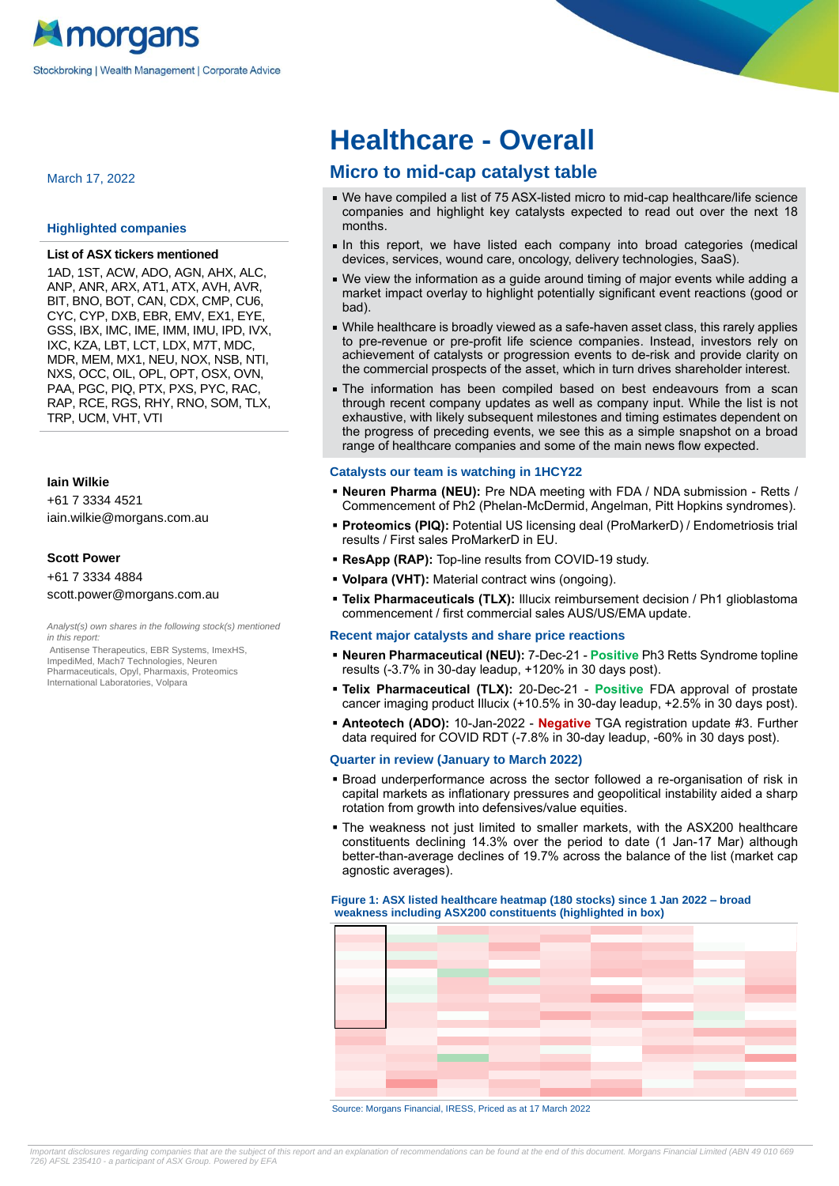

March 17, 2022

#### **Highlighted companies**

#### **List of ASX tickers mentioned**

1AD, 1ST, ACW, ADO, AGN, AHX, ALC, ANP, ANR, ARX, AT1, ATX, AVH, AVR, BIT, BNO, BOT, CAN, CDX, CMP, CU6, CYC, CYP, DXB, EBR, EMV, EX1, EYE, GSS, IBX, IMC, IME, IMM, IMU, IPD, IVX, IXC, KZA, LBT, LCT, LDX, M7T, MDC, MDR, MEM, MX1, NEU, NOX, NSB, NTI, NXS, OCC, OIL, OPL, OPT, OSX, OVN, PAA, PGC, PIQ, PTX, PXS, PYC, RAC, RAP, RCE, RGS, RHY, RNO, SOM, TLX, TRP, UCM, VHT, VTI

#### **Iain Wilkie**

+61 7 3334 4521 iain.wilkie@morgans.com.au

#### **Scott Power**

# +61 7 3334 4884 scott.power@morgans.com.au

Analyst(s) own shares in the following stock(s) mentioned in this report:

Antisense Therapeutics, EBR Systems, ImexHS, ImpediMed, Mach7 Technologies, Neuren Pharmaceuticals, Opyl, Pharmaxis, Proteomics International Laboratories, Volpara

# **Healthcare - Overall**

# **Micro to mid-cap catalyst table**

- We have compiled a list of 75 ASX-listed micro to mid-cap healthcare/life science companies and highlight key catalysts expected to read out over the next 18 months.
- In this report, we have listed each company into broad categories (medical devices, services, wound care, oncology, delivery technologies, SaaS).
- We view the information as a guide around timing of major events while adding a market impact overlay to highlight potentially significant event reactions (good or bad).
- While healthcare is broadly viewed as a safe-haven asset class, this rarely applies to pre-revenue or pre-profit life science companies. Instead, investors rely on achievement of catalysts or progression events to de-risk and provide clarity on the commercial prospects of the asset, which in turn drives shareholder interest.
- The information has been compiled based on best endeavours from a scan through recent company updates as well as company input. While the list is not exhaustive, with likely subsequent milestones and timing estimates dependent on the progress of preceding events, we see this as a simple snapshot on a broad range of healthcare companies and some of the main news flow expected.

#### **Catalysts our team is watching in 1HCY22**

- **Neuren Pharma (NEU):** Pre NDA meeting with FDA / NDA submission Retts / Commencement of Ph2 (Phelan-McDermid, Angelman, Pitt Hopkins syndromes).
- **Proteomics (PIQ):** Potential US licensing deal (ProMarkerD) / Endometriosis trial results / First sales ProMarkerD in EU.
- **ResApp (RAP):** Top-line results from COVID-19 study.
- **Volpara (VHT):** Material contract wins (ongoing).
- **Telix Pharmaceuticals (TLX):** Illucix reimbursement decision / Ph1 glioblastoma commencement / first commercial sales AUS/US/EMA update.

#### **Recent major catalysts and share price reactions**

- **Neuren Pharmaceutical (NEU):** 7-Dec-21 **Positive** Ph3 Retts Syndrome topline results (-3.7% in 30-day leadup, +120% in 30 days post).
- **Telix Pharmaceutical (TLX):** 20-Dec-21 **Positive** FDA approval of prostate cancer imaging product Illucix (+10.5% in 30-day leadup, +2.5% in 30 days post).
- **Anteotech (ADO):** 10-Jan-2022 **Negative** TGA registration update #3. Further data required for COVID RDT (-7.8% in 30-day leadup, -60% in 30 days post).

#### **Quarter in review (January to March 2022)**

- **·** Broad underperformance across the sector followed a re-organisation of risk in capital markets as inflationary pressures and geopolitical instability aided a sharp rotation from growth into defensives/value equities.
- The weakness not just limited to smaller markets, with the ASX200 healthcare constituents declining 14.3% over the period to date (1 Jan-17 Mar) although better-than-average declines of 19.7% across the balance of the list (market cap agnostic averages).

#### **Figure 1: ASX listed healthcare heatmap (180 stocks) since 1 Jan 2022 – broad weakness including ASX200 constituents (highlighted in box)**



Source: Morgans Financial, IRESS, Priced as at 17 March 2022

Important disclosures regarding companies that are the subject of this report and an explanation of recommendations can be found at the end of this document. Morgans Financial Limited (ABN 49 010 669 726) AFSL 235410 - a participant of ASX Group. Powered b[y EFA](http://www.efa.biz/)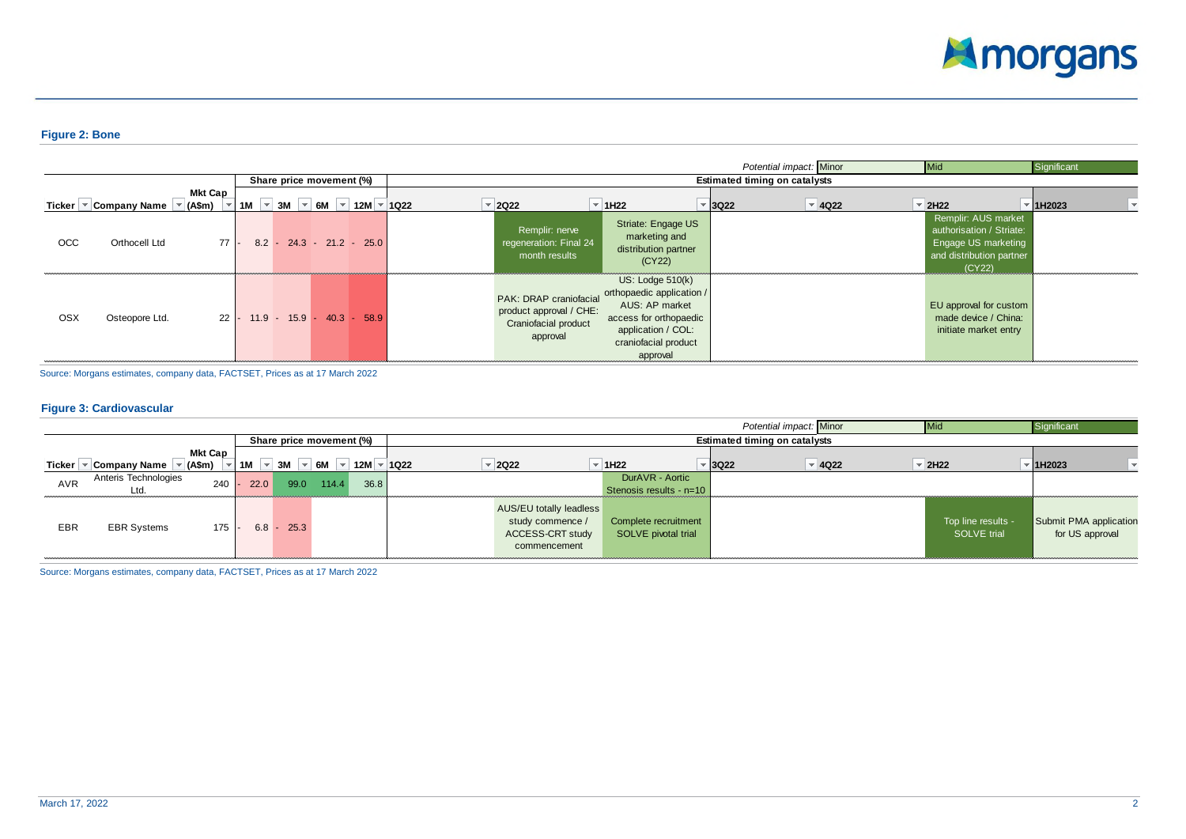

## **Figure 2: Bone**

|     |                                                                                                                                  |                |  |                                  |  |                                                                                       |                |                                                                                                                                                       |                                      | Potential impact: Minor | <b>Mid</b>                                                                                                   | Significant |  |
|-----|----------------------------------------------------------------------------------------------------------------------------------|----------------|--|----------------------------------|--|---------------------------------------------------------------------------------------|----------------|-------------------------------------------------------------------------------------------------------------------------------------------------------|--------------------------------------|-------------------------|--------------------------------------------------------------------------------------------------------------|-------------|--|
|     |                                                                                                                                  |                |  | Share price movement (%)         |  |                                                                                       |                |                                                                                                                                                       | <b>Estimated timing on catalysts</b> |                         |                                                                                                              |             |  |
|     | Ticker $\sqrt{\ }$ Company Name $\sqrt{\ }$ (A\$m) $\sqrt{\ }$ 1M $\sqrt{\ }$ 3M $\sqrt{\ }$ 6M $\sqrt{\ }$ 12M $\sqrt{\ }$ 1Q22 | <b>Mkt Cap</b> |  |                                  |  | $\overline{z}$ 2Q22                                                                   | $\vert$ = 1H22 |                                                                                                                                                       | $\overline{\phantom{a}}$ 3Q22        | $\overline{4}$ 4Q22     | $\vert$ = 2H22                                                                                               | 1H2023      |  |
| OCC | Orthocell Ltd                                                                                                                    | $77 -$         |  | $8.2 - 24.3 - 21.2 - 25.0$       |  | Remplir: nerve<br>regeneration: Final 24<br>month results                             |                | Striate: Engage US<br>marketing and<br>distribution partner<br>(CY22)                                                                                 |                                      |                         | Remplir: AUS market<br>authorisation / Striate:<br>Engage US marketing<br>and distribution partner<br>(CY22) |             |  |
| OSX | Osteopore Ltd.                                                                                                                   |                |  | $22$ - 11.9 - 15.9 - 40.3 - 58.9 |  | PAK: DRAP craniofacial<br>product approval / CHE:<br>Craniofacial product<br>approval |                | US: Lodge $510(k)$<br>orthopaedic application /<br>AUS: AP market<br>access for orthopaedic<br>application / COL:<br>craniofacial product<br>approval |                                      |                         | EU approval for custom<br>made device / China:<br>initiate market entry                                      |             |  |

Source: Morgans estimates, company data, FACTSET, Prices as at 17 March 2022

#### **Figure 3: Cardiovascular**

|        |                      |         |      |         |                          |      |         |                                |                         | Potential impact: Minor                    | Mic                 | Significant            |
|--------|----------------------|---------|------|---------|--------------------------|------|---------|--------------------------------|-------------------------|--------------------------------------------|---------------------|------------------------|
|        |                      |         |      |         | Share price movement (%) |      |         |                                |                         | <b>Estimated timing on catalysts</b>       |                     |                        |
|        |                      | Mkt Cap |      |         |                          |      |         |                                |                         |                                            |                     |                        |
| Ticker | Company Name         | (A\$m)  | 1M   | 3M      | 6M                       | 12M  | ⊤  1Q22 | $\overline{2}$ 2Q22            | 1H <sub>22</sub>        | $\overline{5}$ 3Q22<br>$\overline{9}$ 4Q22 | $\overline{2}$ 2H22 | 1H2023                 |
| AVR    | Anteris Technologies | 240     | 22.0 | 99.0    | 114.4                    | 36.8 |         |                                | DurAVR - Aortic         |                                            |                     |                        |
|        | Ltd.                 |         |      |         |                          |      |         |                                | Stenosis results - n=10 |                                            |                     |                        |
|        |                      |         |      |         |                          |      |         | <b>AUS/EU totally leadless</b> |                         |                                            |                     |                        |
| EBR    | <b>EBR Systems</b>   | 175     | 6.8  | $-25.3$ |                          |      |         | study commence /               | Complete recruitment    |                                            | Top line results -  | Submit PMA application |
|        |                      |         |      |         |                          |      |         | <b>ACCESS-CRT study</b>        | SOLVE pivotal trial     |                                            | SOLVE trial         | for US approval        |
|        |                      |         |      |         |                          |      |         | commencement                   |                         |                                            |                     |                        |
|        |                      |         |      |         |                          |      |         |                                |                         |                                            |                     |                        |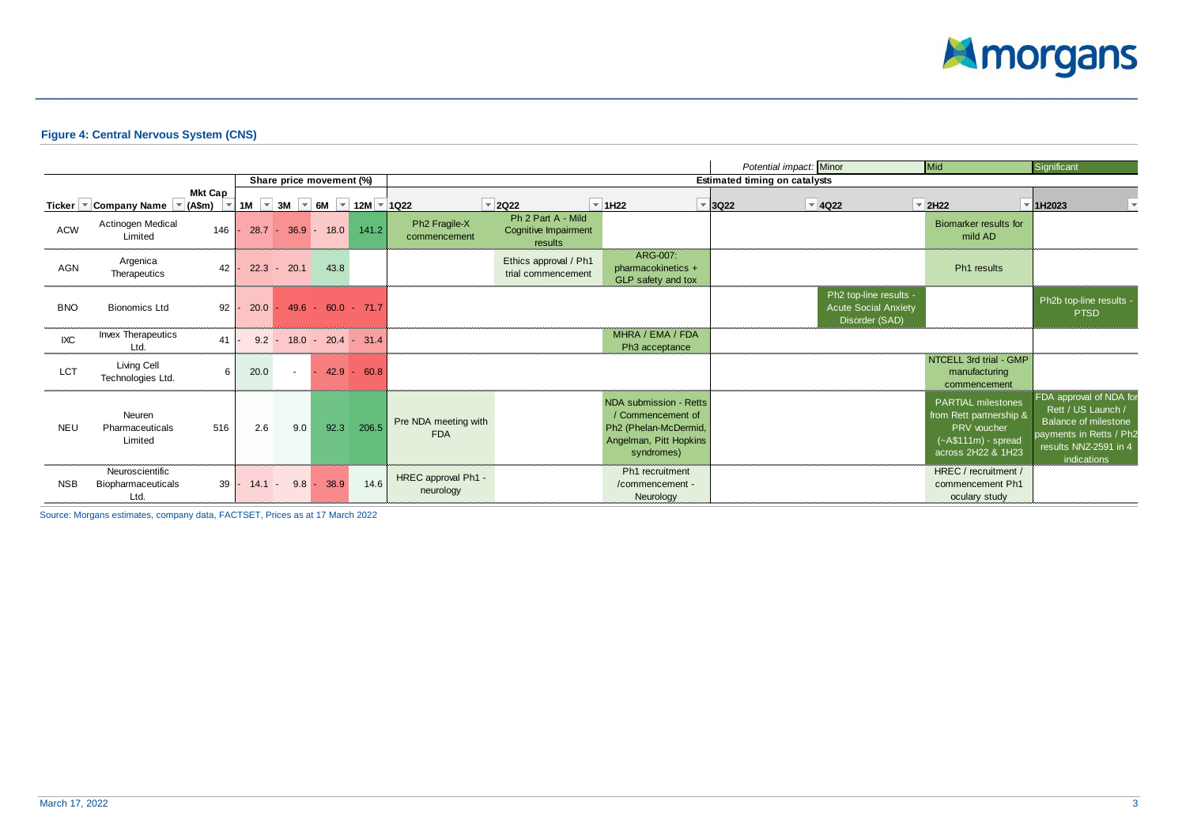

# **Figure 4: Central Nervous System (CNS)**

|            |                                                      |                                            |               |         |                                                               |               |                                           |                                                       |                                                                                                              | Potential impact: Minor              |                                                                         | <b>Mid</b>                                                                                                        | Significant                                                                                                                              |
|------------|------------------------------------------------------|--------------------------------------------|---------------|---------|---------------------------------------------------------------|---------------|-------------------------------------------|-------------------------------------------------------|--------------------------------------------------------------------------------------------------------------|--------------------------------------|-------------------------------------------------------------------------|-------------------------------------------------------------------------------------------------------------------|------------------------------------------------------------------------------------------------------------------------------------------|
|            |                                                      |                                            |               |         | Share price movement (%)                                      |               |                                           |                                                       |                                                                                                              | <b>Estimated timing on catalysts</b> |                                                                         |                                                                                                                   |                                                                                                                                          |
|            | Ticker $\sqrt{\ }$ Company Name $\sqrt{\ }$ (A\$m)   | <b>Mkt Cap</b><br>$\overline{\phantom{a}}$ |               |         | 1M $\sqrt{ }$ 3M $\sqrt{ }$ 6M $\sqrt{ }$ 12M $\sqrt{ }$ 1Q22 |               |                                           | $\overline{2}$ 2Q22                                   | $\vert$ = 1H22                                                                                               | $\overline{5}$ 3Q22                  | $\vert \cdot \vert$ 4Q22                                                | $\overline{2}$ 2H22                                                                                               | 1H2023                                                                                                                                   |
| <b>ACW</b> | Actinogen Medical<br>Limited                         | 146 l                                      |               |         | $28.7 - 36.9 - 18.0$                                          | 141.2         | Ph <sub>2</sub> Fragile-X<br>commencement | Ph 2 Part A - Mild<br>Cognitive Impairment<br>results |                                                                                                              |                                      |                                                                         | Biomarker results for<br>mild AD                                                                                  |                                                                                                                                          |
| AGN        | Argenica<br>Therapeutics                             | 42                                         | 22.3          | $-20.1$ | 43.8                                                          |               |                                           | Ethics approval / Ph1<br>trial commencement           | ARG-007:<br>pharmacokinetics +<br>GLP safety and tox                                                         |                                      |                                                                         | Ph1 results                                                                                                       |                                                                                                                                          |
| <b>BNO</b> | <b>Bionomics Ltd</b>                                 | 92                                         | $20.0 -$      |         | $49.6 - 60.0 - 71.7$                                          |               |                                           |                                                       |                                                                                                              |                                      | Ph2 top-line results -<br><b>Acute Social Anxiety</b><br>Disorder (SAD) |                                                                                                                   | Ph2b top-line results -<br><b>PTSD</b>                                                                                                   |
| <b>IXC</b> | Invex Therapeutics<br>Ltd.                           | 41                                         |               |         | $9.2 - 18.0 - 20.4 - 31.4$                                    |               |                                           |                                                       | MHRA / EMA / FDA<br>Ph3 acceptance                                                                           |                                      |                                                                         |                                                                                                                   |                                                                                                                                          |
| <b>LCT</b> | Living Cell<br>Technologies Ltd.                     | 6                                          | 20.0          | $\sim$  |                                                               | $42.9 - 60.8$ |                                           |                                                       |                                                                                                              |                                      |                                                                         | NTCELL 3rd trial - GMP<br>manufacturing<br>commencement                                                           |                                                                                                                                          |
| <b>NEU</b> | Neuren<br>Pharmaceuticals<br>Limited                 | 516                                        | 2.6           | 9.0     | 92.3                                                          | 206.5         | Pre NDA meeting with<br><b>FDA</b>        |                                                       | NDA submission - Retts<br>/ Commencement of<br>Ph2 (Phelan-McDermid,<br>Angelman, Pitt Hopkins<br>syndromes) |                                      |                                                                         | <b>PARTIAL milestones</b><br>from Rett partnership &<br>PRV voucher<br>$(-A$111m) - spread$<br>across 2H22 & 1H23 | FDA approval of NDA for<br>Rett / US Launch /<br>Balance of milestone<br>payments in Retts / Ph2<br>results NNZ-2591 in 4<br>indications |
| <b>NSB</b> | Neuroscientific<br><b>Biopharmaceuticals</b><br>Ltd. |                                            | $39 - 14.1 -$ | $9.8 -$ | 38.9                                                          | 14.6          | HREC approval Ph1 -<br>neurology          |                                                       | Ph1 recruitment<br>/commencement -<br>Neurology                                                              |                                      |                                                                         | HREC / recruitment /<br>commencement Ph1<br>oculary study                                                         |                                                                                                                                          |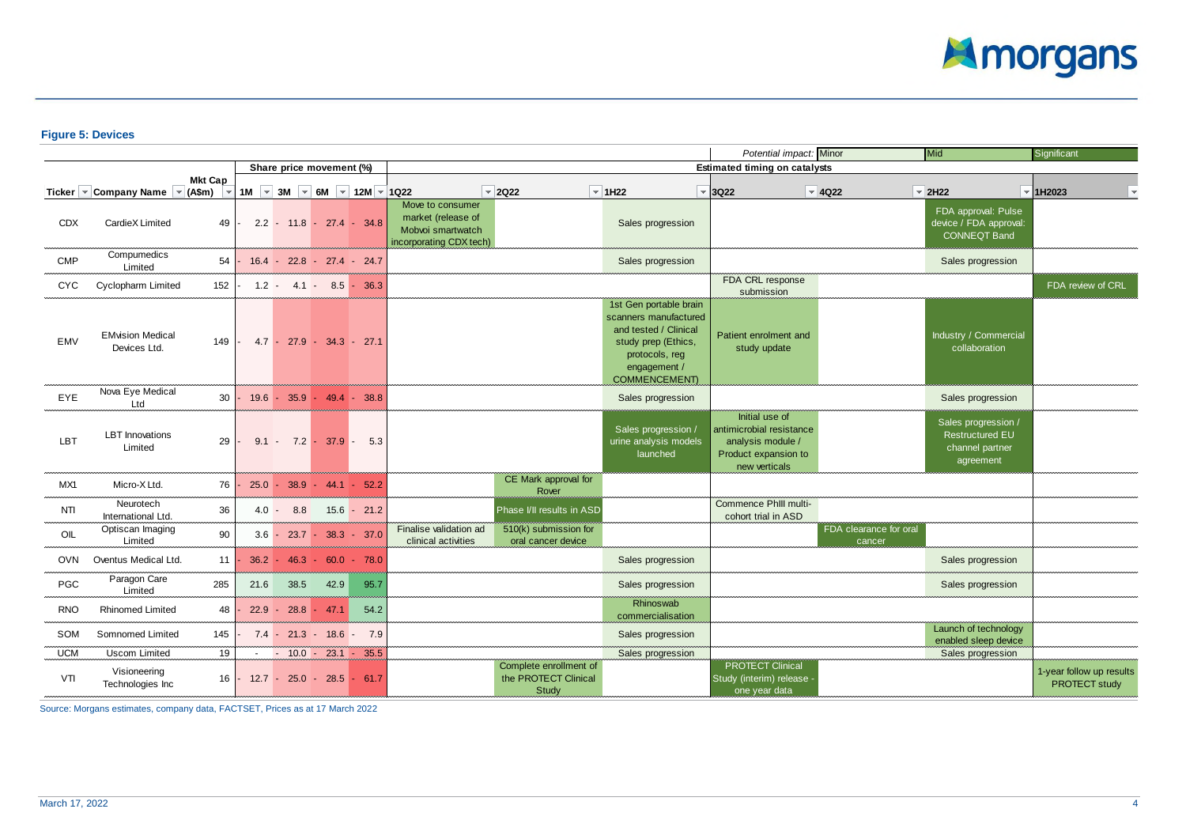

# **Figure 5: Devices**

|            |                                                                |                 |      |             |                            |                                                               |                                                                                        |                                                         |                                                                                                                                                          | Potential impact: Minor                                                                                  |                                  | Mid                                                                           | Significant                               |
|------------|----------------------------------------------------------------|-----------------|------|-------------|----------------------------|---------------------------------------------------------------|----------------------------------------------------------------------------------------|---------------------------------------------------------|----------------------------------------------------------------------------------------------------------------------------------------------------------|----------------------------------------------------------------------------------------------------------|----------------------------------|-------------------------------------------------------------------------------|-------------------------------------------|
|            |                                                                |                 |      |             | Share price movement (%)   |                                                               |                                                                                        |                                                         |                                                                                                                                                          | <b>Estimated timing on catalysts</b>                                                                     |                                  |                                                                               |                                           |
|            |                                                                | <b>Mkt Cap</b>  |      |             |                            |                                                               |                                                                                        |                                                         |                                                                                                                                                          |                                                                                                          |                                  |                                                                               |                                           |
|            | Ticker $\sqrt{\ }$ Company Name $\sqrt{\ }$ (A\$m) $\sqrt{\ }$ |                 |      |             |                            | 1M $\sqrt{ }$ 3M $\sqrt{ }$ 6M $\sqrt{ }$ 12M $\sqrt{ }$ 1Q22 |                                                                                        | $\sqrt{2}$ 2Q22                                         | $\sqrt{2}$ 1H22                                                                                                                                          | $\sqrt{8}$ 3Q22                                                                                          | $\overline{\phantom{a}}$ 4Q22    | $\vert \cdot \vert$ 2H22                                                      | $\vert$ 1H2023                            |
| <b>CDX</b> | CardieX Limited                                                | 49              |      |             |                            | $2.2 - 11.8 - 27.4 - 34.8$                                    | Move to consumer<br>market (release of<br>Mobvoi smartwatch<br>incorporating CDX tech) |                                                         | Sales progression                                                                                                                                        |                                                                                                          |                                  | FDA approval: Pulse<br>device / FDA approval:<br><b>CONNEQT Band</b>          |                                           |
| <b>CMP</b> | Compumedics<br>Limited                                         | 54              |      |             |                            | $16.4 - 22.8 - 27.4 - 24.7$                                   |                                                                                        |                                                         | Sales progression                                                                                                                                        |                                                                                                          |                                  | Sales progression                                                             |                                           |
| <b>CYC</b> | <b>Cyclopharm Limited</b>                                      | 152             |      |             |                            | $1.2 - 4.1 - 8.5 - 36.3$                                      |                                                                                        |                                                         |                                                                                                                                                          | FDA CRL response<br>submission                                                                           |                                  |                                                                               | FDA review of CRL                         |
| EMV        | <b>EMvision Medical</b><br>Devices Ltd.                        | 149             |      |             | $4.7 - 27.9 - 34.3 - 27.1$ |                                                               |                                                                                        |                                                         | 1st Gen portable brain<br>scanners manufactured<br>and tested / Clinical<br>study prep (Ethics,<br>protocols, reg<br>engagement /<br><b>COMMENCEMENT</b> | Patient enrolment and<br>study update                                                                    |                                  | Industry / Commercial<br>collaboration                                        |                                           |
| EYE        | Nova Eye Medical<br>Ltd                                        |                 |      |             |                            | $30$ - 19.6 - 35.9 - 49.4 - 38.8                              |                                                                                        |                                                         | Sales progression                                                                                                                                        |                                                                                                          |                                  | Sales progression                                                             |                                           |
| LBT        | <b>LBT</b> Innovations<br>Limited                              | 29 <sup>1</sup> |      |             |                            | $9.1 - 7.2 - 37.9 - 5.3$                                      |                                                                                        |                                                         | Sales progression /<br>urine analysis models<br>launched                                                                                                 | Initial use of<br>antimicrobial resistance<br>analysis module /<br>Product expansion to<br>new verticals |                                  | Sales progression /<br><b>Restructured EU</b><br>channel partner<br>agreement |                                           |
| MX1        | Micro-X Ltd.                                                   | 76              |      |             |                            | $25.0 - 38.9 - 44.1 - 52.2$                                   |                                                                                        | CE Mark approval for<br>Rover                           |                                                                                                                                                          |                                                                                                          |                                  |                                                                               |                                           |
| NTI        | Neurotech<br>International Ltd.                                | 36              |      | $4.0 - 8.8$ |                            | $15.6 - 21.2$                                                 |                                                                                        | Phase I/II results in ASD                               |                                                                                                                                                          | Commence Phill multi-<br>cohort trial in ASD                                                             |                                  |                                                                               |                                           |
| OIL        | Optiscan Imaging<br>Limited                                    | 90              |      |             |                            | $3.6 - 23.7 - 38.3 - 37.0$                                    | Finalise validation ad<br>clinical activities                                          | 510(k) submission for<br>oral cancer device             |                                                                                                                                                          |                                                                                                          | FDA clearance for oral<br>cancer |                                                                               |                                           |
| OVN        | Oventus Medical Ltd.                                           | 11 <sup>1</sup> |      |             |                            | $36.2 - 46.3 - 60.0 - 78.0$                                   |                                                                                        |                                                         | Sales progression                                                                                                                                        |                                                                                                          |                                  | Sales progression                                                             |                                           |
| PGC        | Paragon Care<br>Limited                                        | 285             | 21.6 | 38.5        | 42.9                       | 95.7                                                          |                                                                                        |                                                         | Sales progression                                                                                                                                        |                                                                                                          |                                  | Sales progression                                                             |                                           |
| <b>RNO</b> | <b>Rhinomed Limited</b>                                        | 48              |      |             | $22.9 - 28.8 - 47.1$       | 54.2                                                          |                                                                                        |                                                         | Rhinoswab<br>commercialisation                                                                                                                           |                                                                                                          |                                  |                                                                               |                                           |
| SOM        | Somnomed Limited                                               | 145             |      |             |                            | $7.4 - 21.3 - 18.6 - 7.9$                                     |                                                                                        |                                                         | Sales progression                                                                                                                                        |                                                                                                          |                                  | Launch of technology<br>enabled sleep device                                  |                                           |
| <b>UCM</b> | Uscom Limited                                                  | 19              |      |             |                            | $ -$ 10.0 $-$ 23.1 $-$ 35.5                                   |                                                                                        |                                                         | Sales progression                                                                                                                                        |                                                                                                          |                                  | Sales progression                                                             |                                           |
| VTI        | Visioneering<br>Technologies Inc                               | $16 -$          |      |             |                            | $12.7 - 25.0 - 28.5 - 61.7$                                   |                                                                                        | Complete enrollment of<br>the PROTECT Clinical<br>Study |                                                                                                                                                          | <b>PROTECT Clinical</b><br>Study (interim) release -<br>one year data                                    |                                  |                                                                               | 1-year follow up results<br>PROTECT study |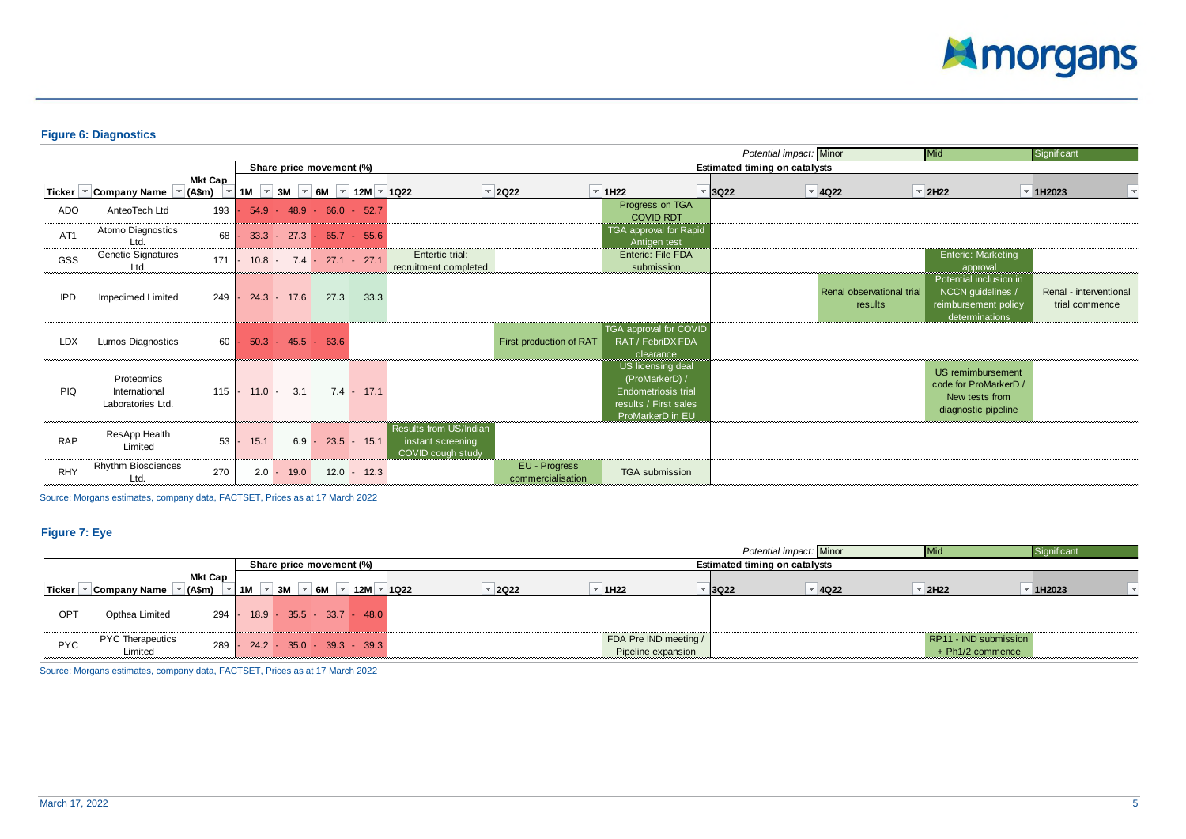

# **Figure 6: Diagnostics**

|                 |                                                                      |                |         |                    |                          |                                                               |                                                                  |                                    |                                                                                                                | Potential impact: Minor              |                                      | Mid                                                                                   | Significant                              |
|-----------------|----------------------------------------------------------------------|----------------|---------|--------------------|--------------------------|---------------------------------------------------------------|------------------------------------------------------------------|------------------------------------|----------------------------------------------------------------------------------------------------------------|--------------------------------------|--------------------------------------|---------------------------------------------------------------------------------------|------------------------------------------|
|                 |                                                                      |                |         |                    | Share price movement (%) |                                                               |                                                                  |                                    |                                                                                                                | <b>Estimated timing on catalysts</b> |                                      |                                                                                       |                                          |
|                 | Ticker $\blacktriangledown$ Company Name $\blacktriangledown$ (A\$m) | <b>Mkt Cap</b> |         |                    |                          | 1M $\sqrt{ }$ 3M $\sqrt{ }$ 6M $\sqrt{ }$ 12M $\sqrt{ }$ 1Q22 |                                                                  | $\vert \cdot \vert$ 2Q22           | $\overline{=}$ 1H22                                                                                            | $\overline{\phantom{a}}$ 3Q22        | $\vert \cdot \vert$ 4Q22             | $\overline{2}$ 2H22                                                                   | $\vert$ 1H2023                           |
| ADO             | AnteoTech Ltd                                                        | 193            |         |                    |                          | $54.9 - 48.9 - 66.0 - 52.7$                                   |                                                                  |                                    | Progress on TGA<br><b>COVID RDT</b>                                                                            |                                      |                                      |                                                                                       |                                          |
| AT <sub>1</sub> | Atomo Diagnostics<br>Ltd.                                            | 68             |         |                    |                          | $33.3 - 27.3 - 65.7 - 55.6$                                   |                                                                  |                                    | TGA approval for Rapid<br>Antigen test                                                                         |                                      |                                      |                                                                                       |                                          |
| GSS             | <b>Genetic Signatures</b><br>Ltd.                                    | 171            |         |                    |                          | $10.8 - 7.4 - 27.1 - 27.1$                                    | Entertic trial:<br>recruitment completed                         |                                    | Enteric: File FDA<br>submission                                                                                |                                      |                                      | Enteric: Marketing<br>approval                                                        |                                          |
| <b>IPD</b>      | <b>Impedimed Limited</b>                                             | 249            |         | $24.3 - 17.6$      | 27.3                     | 33.3                                                          |                                                                  |                                    |                                                                                                                |                                      | Renal observational trial<br>results | Potential inclusion in<br>NCCN guidelines /<br>reimbursement policy<br>determinations | Renal - interventional<br>trial commence |
| <b>LDX</b>      | <b>Lumos Diagnostics</b>                                             | 60 l           |         |                    | $50.3 - 45.5 - 63.6$     |                                                               |                                                                  | First production of RAT            | TGA approval for COVID<br>RAT / FebriDX FDA<br>clearance                                                       |                                      |                                      |                                                                                       |                                          |
| <b>PIQ</b>      | Proteomics<br>International<br>Laboratories Ltd.                     |                |         | $115$ - 11.0 - 3.1 |                          | $7.4 - 17.1$                                                  |                                                                  |                                    | US licensing deal<br>(ProMarkerD) /<br><b>Endometriosis trial</b><br>results / First sales<br>ProMarkerD in EU |                                      |                                      | US remimbursement<br>code for ProMarkerD /<br>New tests from<br>diagnostic pipeline   |                                          |
| <b>RAP</b>      | ResApp Health<br>Limited                                             | 53             | 15.1    | $6.9 -$            |                          | $23.5 - 15.1$                                                 | Results from US/Indian<br>instant screening<br>COVID cough study |                                    |                                                                                                                |                                      |                                      |                                                                                       |                                          |
| <b>RHY</b>      | <b>Rhythm Biosciences</b><br>Ltd.                                    | 270            | $2.0 -$ | 19.0               |                          | $12.0 - 12.3$                                                 |                                                                  | EU - Progress<br>commercialisation | <b>TGA</b> submission                                                                                          |                                      |                                      |                                                                                       |                                          |

Source: Morgans estimates, company data, FACTSET, Prices as at 17 March 2022

# **Figure 7: Eye**

|            |                                    |                  |                    |    |                                                |                    |             |                                             | Potential impact: Minor              |                     | <b>Mid</b>                                  | Significant |
|------------|------------------------------------|------------------|--------------------|----|------------------------------------------------|--------------------|-------------|---------------------------------------------|--------------------------------------|---------------------|---------------------------------------------|-------------|
|            |                                    |                  |                    |    | Share price movement (%)                       |                    |             |                                             | <b>Estimated timing on catalysts</b> |                     |                                             |             |
|            |                                    | Mkt Cap          |                    |    |                                                |                    |             |                                             |                                      |                     |                                             |             |
| Ticker     | Company Name                       | $(A\mathsf{Sm})$ | $\sim$   1M $\sim$ | 3M | $\vert \cdot \vert$ 6M $\vert \cdot \vert$ 12M | $\vert \vert$ 1022 | <b>2Q22</b> | 1H <sub>22</sub>                            | <b>3Q22</b>                          | $\overline{4}$ 4Q22 | 2H22                                        | 1H2023      |
| <b>OPT</b> | Opthea Limited                     |                  |                    |    | 294 - 18.9 - 35.5 - 33.7 - 48.0                |                    |             |                                             |                                      |                     |                                             |             |
| <b>PYC</b> | <b>PYC Therapeutics</b><br>Limited | 289              |                    |    | $24.2 - 35.0 - 39.3 - 39.3$                    |                    |             | FDA Pre IND meeting /<br>Pipeline expansion |                                      |                     | RP11 - IND submission<br>$+$ Ph1/2 commence |             |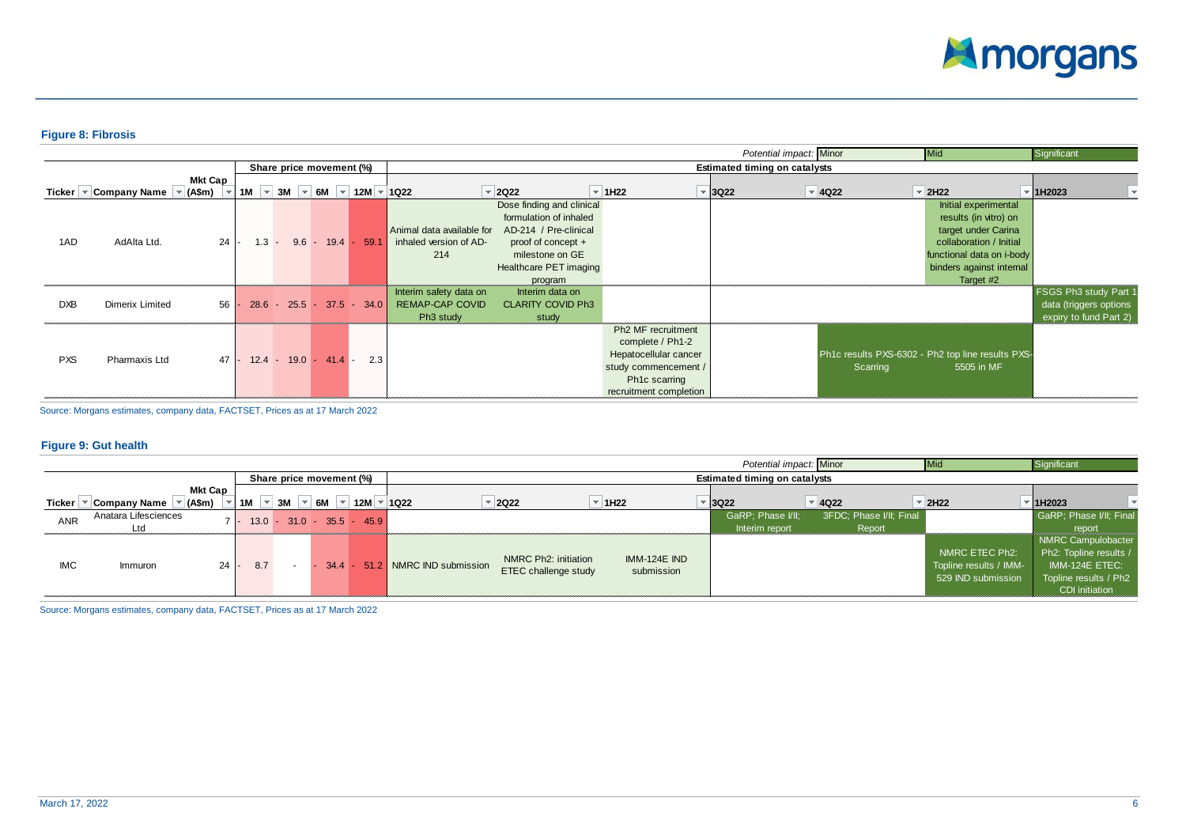

# **Figure 8: Fibrosis**

|            |                                                                      |                |                               |           |                          |                                     |                                                                           |                                                                                                                                                            |                                                                                                                                                |                               | Potential impact: Minor              | Mid                                                                                                                                                                   | Significant                                                               |
|------------|----------------------------------------------------------------------|----------------|-------------------------------|-----------|--------------------------|-------------------------------------|---------------------------------------------------------------------------|------------------------------------------------------------------------------------------------------------------------------------------------------------|------------------------------------------------------------------------------------------------------------------------------------------------|-------------------------------|--------------------------------------|-----------------------------------------------------------------------------------------------------------------------------------------------------------------------|---------------------------------------------------------------------------|
|            |                                                                      |                |                               |           | Share price movement (%) |                                     |                                                                           |                                                                                                                                                            |                                                                                                                                                |                               | <b>Estimated timing on catalysts</b> |                                                                                                                                                                       |                                                                           |
|            | Ticker $\blacktriangledown$ Company Name $\blacktriangledown$ (A\$m) | <b>Mkt Cap</b> | 1M<br>$\overline{\mathbf{v}}$ |           |                          | 3M $\sim$ 6M $\sim$ 12M $\sim$ 1Q22 |                                                                           | $\overline{2}$ 2022                                                                                                                                        | $\overline{1}$ 1H22                                                                                                                            | $\overline{\phantom{0}}$ 3Q22 | $\vert \cdot \vert$ 4Q22             | $\vert$ = 2H22                                                                                                                                                        | 1H2023                                                                    |
| 1AD        | AdAlta Ltd.                                                          | 24             | $1.3 -$                       |           |                          | $9.6 - 19.4 - 59.1$                 | Animal data available for<br>inhaled version of AD-<br>214                | Dose finding and clinical<br>formulation of inhaled<br>AD-214 / Pre-clinical<br>proof of concept +<br>milestone on GE<br>Healthcare PET imaging<br>program |                                                                                                                                                |                               |                                      | Initial experimental<br>results (in vitro) on<br>target under Carina<br>collaboration / Initial<br>functional data on i-body<br>binders against internal<br>Target #2 |                                                                           |
| <b>DXB</b> | Dimerix Limited                                                      | 56             | 28.6                          | $-25.5$ - |                          | $37.5 - 34.0$                       | Interim safety data on<br><b>REMAP-CAP COVID</b><br>Ph <sub>3</sub> study | Interim data on<br><b>CLARITY COVID Ph3</b><br>study                                                                                                       |                                                                                                                                                |                               |                                      |                                                                                                                                                                       | FSGS Ph3 study Part 1<br>data (triggers options<br>expiry to fund Part 2) |
| <b>PXS</b> | Pharmaxis Ltd                                                        | $47 -$         | 12.4                          |           | $-19.0 - 41.4$           | 2.3                                 |                                                                           |                                                                                                                                                            | Ph <sub>2</sub> MF recruitment<br>complete / Ph1-2<br>Hepatocellular cancer<br>study commencement /<br>Ph1c scarring<br>recruitment completion |                               | Scarring                             | Ph1c results PXS-6302 - Ph2 top line results PXS-<br>5505 in MF                                                                                                       |                                                                           |

Source: Morgans estimates, company data, FACTSET, Prices as at 17 March 2022

#### **Figure 9: Gut health**

|            |                             |                   |          |    |                          |                      |                                 |                                                                  |                  |                                   | Potential impact: Minor              |          |                                   | Mid                                                            | Significant                                                                                                                  |
|------------|-----------------------------|-------------------|----------|----|--------------------------|----------------------|---------------------------------|------------------------------------------------------------------|------------------|-----------------------------------|--------------------------------------|----------|-----------------------------------|----------------------------------------------------------------|------------------------------------------------------------------------------------------------------------------------------|
|            |                             |                   |          |    | Share price movement (%) |                      |                                 |                                                                  |                  |                                   | <b>Estimated timing on catalysts</b> |          |                                   |                                                                |                                                                                                                              |
| Ticker     | Company Name                | Mkt Cap<br>(A\$m) | 1M       | 3M | $\vert \cdot \vert$ 6M   | $12M$ = 1Q22         |                                 | $\sqrt{2Q22}$                                                    | 1H <sub>22</sub> |                                   | <del>-</del> I3Q22                   | $= 4022$ |                                   | $\overline{2}$ 2H22                                            | 1H2023                                                                                                                       |
| <b>ANR</b> | Anatara Lifesciences<br>Ltd |                   | $13.0 -$ |    |                          | $31.0 - 35.5 - 45.9$ |                                 |                                                                  |                  |                                   | GaRP; Phase I/II;<br>Interim report  |          | 3FDC; Phase I/II; Final<br>Report |                                                                | GaRP; Phase VII; Final<br>report                                                                                             |
| <b>IMC</b> | Immuron                     | $24 -$            | 8.7      |    |                          |                      | 34.4 - 51.2 NMRC IND submission | NMRC Ph <sub>2</sub> : initiation<br><b>ETEC</b> challenge study |                  | <b>IMM-124E IND</b><br>submission |                                      |          |                                   | NMRC ETEC Ph2:<br>Topline results / IMM-<br>529 IND submission | NMRC Campulobacter<br>Ph2: Topline results /<br>IMM-124E ETEC:<br>Topline results / Ph <sub>2</sub><br><b>CDI</b> initiation |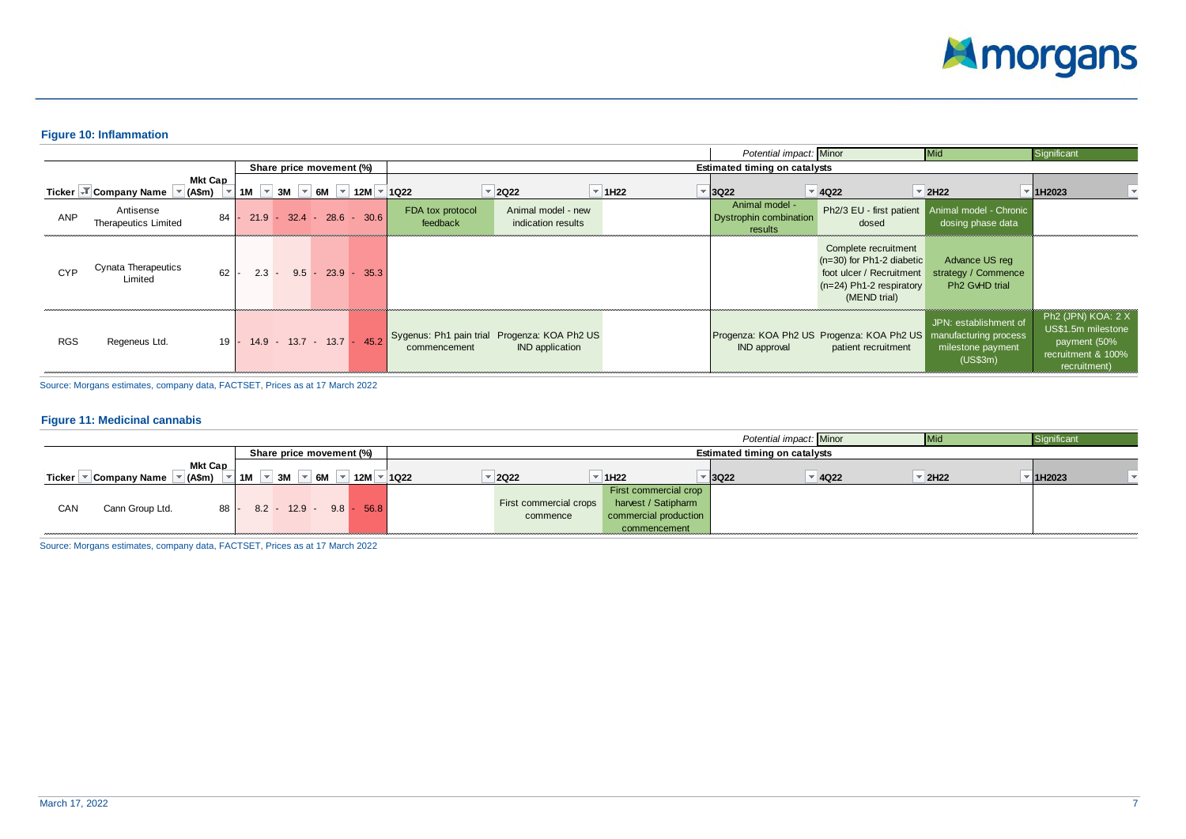

#### **Figure 10: Inflammation**

|            |                                                                     |         |                                                               |                              |                                                                        |                     | Potential impact: Minor                                    |                                                                                                                               | Mid                                                                            | Significant                                                                                    |
|------------|---------------------------------------------------------------------|---------|---------------------------------------------------------------|------------------------------|------------------------------------------------------------------------|---------------------|------------------------------------------------------------|-------------------------------------------------------------------------------------------------------------------------------|--------------------------------------------------------------------------------|------------------------------------------------------------------------------------------------|
|            |                                                                     |         | Share price movement (%)                                      |                              |                                                                        |                     | <b>Estimated timing on catalysts</b>                       |                                                                                                                               |                                                                                |                                                                                                |
|            | <b>Mkt Cap</b><br>Ticker → Company Name $\blacktriangledown$ (A\$m) |         | 1M $\sqrt{ }$ 3M $\sqrt{ }$ 6M $\sqrt{ }$ 12M $\sqrt{ }$ 1Q22 |                              | $\vert$ = 2Q22                                                         | $\overline{=}$ 1H22 | $\overline{2}$ 3Q22                                        | $\vert \cdot \vert$ 4Q22                                                                                                      | $\overline{2}$ 2H22                                                            | 1H2023                                                                                         |
| ANP        | Antisense<br>84<br>Therapeutics Limited                             |         | $21.9 - 32.4 - 28.6 - 30.6$                                   | FDA tox protocol<br>feedback | Animal model - new<br>indication results                               |                     | Animal model -<br><b>Dystrophin combination</b><br>results | dosed                                                                                                                         | Ph2/3 EU - first patient Animal model - Chronic<br>dosing phase data           |                                                                                                |
| <b>CYP</b> | Cynata Therapeutics<br>62<br>Limited                                | $2.3 -$ | $9.5 - 23.9 - 35.3$                                           |                              |                                                                        |                     |                                                            | Complete recruitment<br>$(n=30)$ for Ph1-2 diabetic<br>foot ulcer / Recruitment<br>$(n=24)$ Ph1-2 respiratory<br>(MEND trial) | Advance US reg<br>strategy / Commence<br>Ph <sub>2</sub> G <sub>MD</sub> trial |                                                                                                |
| <b>RGS</b> | Regeneus Ltd.                                                       |         | 19 - 14.9 - 13.7 - 13.7 - 45.2                                | commencement                 | Sygenus: Ph1 pain trial Progenza: KOA Ph2 US<br><b>IND</b> application |                     | <b>IND</b> approval                                        | Progenza: KOA Ph2 US Progenza: KOA Ph2 US manufacturing process<br>patient recruitment                                        | JPN: establishment of<br>milestone payment<br>(US\$3m)                         | Ph2 (JPN) KOA: 2 X<br>US\$1.5m milestone<br>payment (50%<br>recruitment & 100%<br>recruitment) |

Source: Morgans estimates, company data, FACTSET, Prices as at 17 March 2022

#### **Figure 11: Medicinal cannabis**

|        |                     |         |    |    |                           |                    |      |                        |                  |                       | Potential impact: Minor              |                     | Siɑnificant |  |
|--------|---------------------|---------|----|----|---------------------------|--------------------|------|------------------------|------------------|-----------------------|--------------------------------------|---------------------|-------------|--|
|        |                     |         |    |    | Share price movement (%)  |                    |      |                        |                  |                       | <b>Estimated timing on catalysts</b> |                     |             |  |
|        |                     | Mkt Cap |    |    |                           |                    |      |                        |                  |                       |                                      |                     |             |  |
| Ticker | <b>Company Name</b> | (A\$m)  | 1M | 3M | 6M                        | 12M $\overline{ }$ | 1022 | <b>2Q22</b>            | 1H <sub>22</sub> | ▼ 3Q22                | $\overline{9}$ 4Q22                  | $\overline{2}$ 2H22 | 1H2023      |  |
|        |                     |         |    |    |                           |                    |      |                        |                  | First commercial crop |                                      |                     |             |  |
| CAN    | Cann Group Ltd.     | $88 -$  |    |    | $8.2 - 12.9 - 9.8 - 56.8$ |                    |      | First commercial crops |                  | harvest / Satipharm   |                                      |                     |             |  |
|        |                     |         |    |    |                           |                    |      | commence               |                  | commercial production |                                      |                     |             |  |
|        |                     |         |    |    |                           |                    |      |                        |                  | commencement          |                                      |                     |             |  |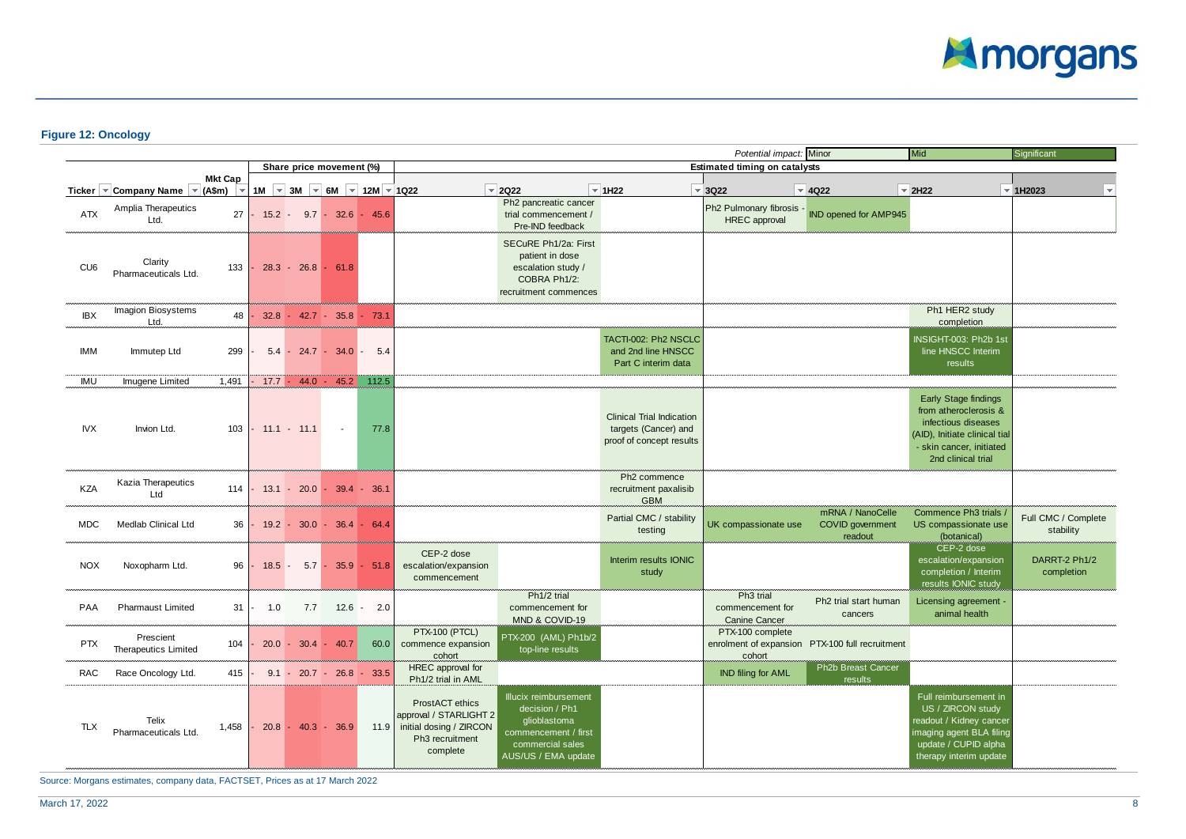

# **Figure 12: Oncology**

|                 |                                                    |                                            |         |                 |                             |                                                           |                                                                                                          |                                                                                                                            |                                                                                      | Potential impact: Minor                                                |                                                        | Mid                                                                                                                                                            | Significant                      |
|-----------------|----------------------------------------------------|--------------------------------------------|---------|-----------------|-----------------------------|-----------------------------------------------------------|----------------------------------------------------------------------------------------------------------|----------------------------------------------------------------------------------------------------------------------------|--------------------------------------------------------------------------------------|------------------------------------------------------------------------|--------------------------------------------------------|----------------------------------------------------------------------------------------------------------------------------------------------------------------|----------------------------------|
|                 |                                                    |                                            |         |                 | Share price movement (%)    |                                                           |                                                                                                          |                                                                                                                            |                                                                                      | <b>Estimated timing on catalysts</b>                                   |                                                        |                                                                                                                                                                |                                  |
|                 | Ticker $\sqrt{\ }$ Company Name $\sqrt{\ }$ (A\$m) | <b>Mkt Cap</b><br>$\overline{\phantom{a}}$ |         |                 |                             | 1M $\sqrt{}$ 3M $\sqrt{}$ 6M $\sqrt{}$ 12M $\sqrt{}$ 1Q22 |                                                                                                          | $= 2Q22$                                                                                                                   | $\vert$ = 1H22                                                                       | $\overline{\phantom{a}}$ 3Q22                                          | $\overline{4}$ 4Q22                                    | $\overline{\phantom{a}}$ 2H22                                                                                                                                  | $\vert$ 1H2023                   |
| <b>ATX</b>      | Amplia Therapeutics<br>Ltd.                        | 27                                         |         |                 | $15.2 - 9.7 - 32.6 - 45.6$  |                                                           |                                                                                                          | Ph2 pancreatic cancer<br>trial commencement /<br>Pre-IND feedback                                                          |                                                                                      | Ph2 Pulmonary fibrosis - IND opened for AMP945<br><b>HREC</b> approval |                                                        |                                                                                                                                                                |                                  |
| CU <sub>6</sub> | Clarity<br>Pharmaceuticals Ltd.                    | 133                                        |         | $28.3 - 26.8$   | 61.8<br>ı.                  |                                                           |                                                                                                          | SECuRE Ph1/2a: First<br>patient in dose<br>escalation study /<br>COBRA Ph1/2:<br>recruitment commences                     |                                                                                      |                                                                        |                                                        |                                                                                                                                                                |                                  |
| IBX             | Imagion Biosystems<br>Ltd.                         | 48                                         |         |                 | $32.8 - 42.7 - 35.8 - 73.1$ |                                                           |                                                                                                          |                                                                                                                            |                                                                                      |                                                                        |                                                        | Ph1 HER2 study<br>completion                                                                                                                                   |                                  |
| <b>IMM</b>      | Immutep Ltd                                        | 299                                        | $5.4 -$ |                 | $24.7 - 34.0$               | 5.4                                                       |                                                                                                          |                                                                                                                            | TACTI-002: Ph2 NSCLC<br>and 2nd line HNSCC<br>Part C interim data                    |                                                                        |                                                        | NSIGHT-003: Ph2b 1st<br>line HNSCC Interim<br>results                                                                                                          |                                  |
| IMU             | Imugene Limited                                    | 1,491                                      |         | $17.7 - 44.0 -$ | 45.2                        | 112.5                                                     |                                                                                                          |                                                                                                                            |                                                                                      |                                                                        |                                                        |                                                                                                                                                                |                                  |
| <b>IVX</b>      | Invion Ltd.                                        | 103                                        |         | $-11.1 - 11.1$  | $\sim$                      | 77.8                                                      |                                                                                                          |                                                                                                                            | <b>Clinical Trial Indication</b><br>targets (Cancer) and<br>proof of concept results |                                                                        |                                                        | <b>Early Stage findings</b><br>from atheroclerosis &<br>infectious diseases<br>(AID), Initiate clinical tial<br>- skin cancer, initiated<br>2nd clinical trial |                                  |
| KZA             | Kazia Therapeutics<br>Ltd                          | 114                                        |         |                 | $13.1 - 20.0 - 39.4 - 36.1$ |                                                           |                                                                                                          |                                                                                                                            | Ph <sub>2</sub> commence<br>recruitment paxalisib<br><b>GBM</b>                      |                                                                        |                                                        |                                                                                                                                                                |                                  |
| <b>MDC</b>      | Medlab Clinical Ltd                                | 36                                         |         |                 | $19.2 - 30.0 - 36.4 - 64.4$ |                                                           |                                                                                                          |                                                                                                                            | Partial CMC / stability<br>testing                                                   | UK compassionate use                                                   | mRNA / NanoCelle<br><b>COVID</b> government<br>readout | Commence Ph3 trials /<br>US compassionate use<br>(botanical)                                                                                                   | Full CMC / Complete<br>stability |
| <b>NOX</b>      | Noxopharm Ltd.                                     | 96                                         | 18.5    | $5.7 -$         |                             | $35.9 - 51.8$                                             | CEP-2 dose<br>escalation/expansion<br>commencement                                                       |                                                                                                                            | Interim results IONIC<br>study                                                       |                                                                        |                                                        | CEP-2 dose<br>escalation/expansion<br>completion / Interim<br>results IONIC study                                                                              | DARRT-2 Ph1/2<br>completion      |
| <b>PAA</b>      | <b>Pharmaust Limited</b>                           | 31                                         | 1.0     | 7.7             |                             | $12.6 - 2.0$                                              |                                                                                                          | Ph <sub>1/2</sub> trial<br>commencement for<br>MND & COVID-19                                                              |                                                                                      | Ph <sub>3</sub> trial<br>commencement for<br><b>Canine Cancer</b>      | Ph2 trial start human<br>cancers                       | Licensing agreement -<br>animal health                                                                                                                         |                                  |
| <b>PTX</b>      | Prescient<br>Therapeutics Limited                  | 104                                        |         |                 | $20.0 - 30.4 - 40.7$        | 60.0                                                      | PTX-100 (PTCL)<br>commence expansion<br>cohort                                                           | PTX-200 (AML) Ph1b/2<br>top-line results                                                                                   |                                                                                      | PTX-100 complete<br>cohort                                             | enrolment of expansion PTX-100 full recruitment        |                                                                                                                                                                |                                  |
| <b>RAC</b>      | Race Oncology Ltd.                                 | 415                                        |         |                 | $9.1 - 20.7 - 26.8 - 33.5$  |                                                           | HREC approval for<br>Ph1/2 trial in AML                                                                  |                                                                                                                            |                                                                                      | IND filing for AML                                                     | Ph <sub>2</sub> b Breast Cancer<br>results             |                                                                                                                                                                |                                  |
| <b>TLX</b>      | Telix<br>Pharmaceuticals Ltd.                      | 1.458                                      |         |                 | $20.8 - 40.3 - 36.9$        |                                                           | ProstACT ethics<br>approval / STARLIGHT 2<br>11.9 initial dosing / ZIRCON<br>Ph3 recruitment<br>complete | Illucix reimbursement<br>decision / Ph1<br>qlioblastoma<br>commencement / first<br>commercial sales<br>AUS/US / EMA update |                                                                                      |                                                                        |                                                        | Full reimbursement in<br>US / ZIRCON study<br>eadout / Kidney cancer<br>maging agent BLA filing<br>update / CUPID alpha<br>therapy interim update              |                                  |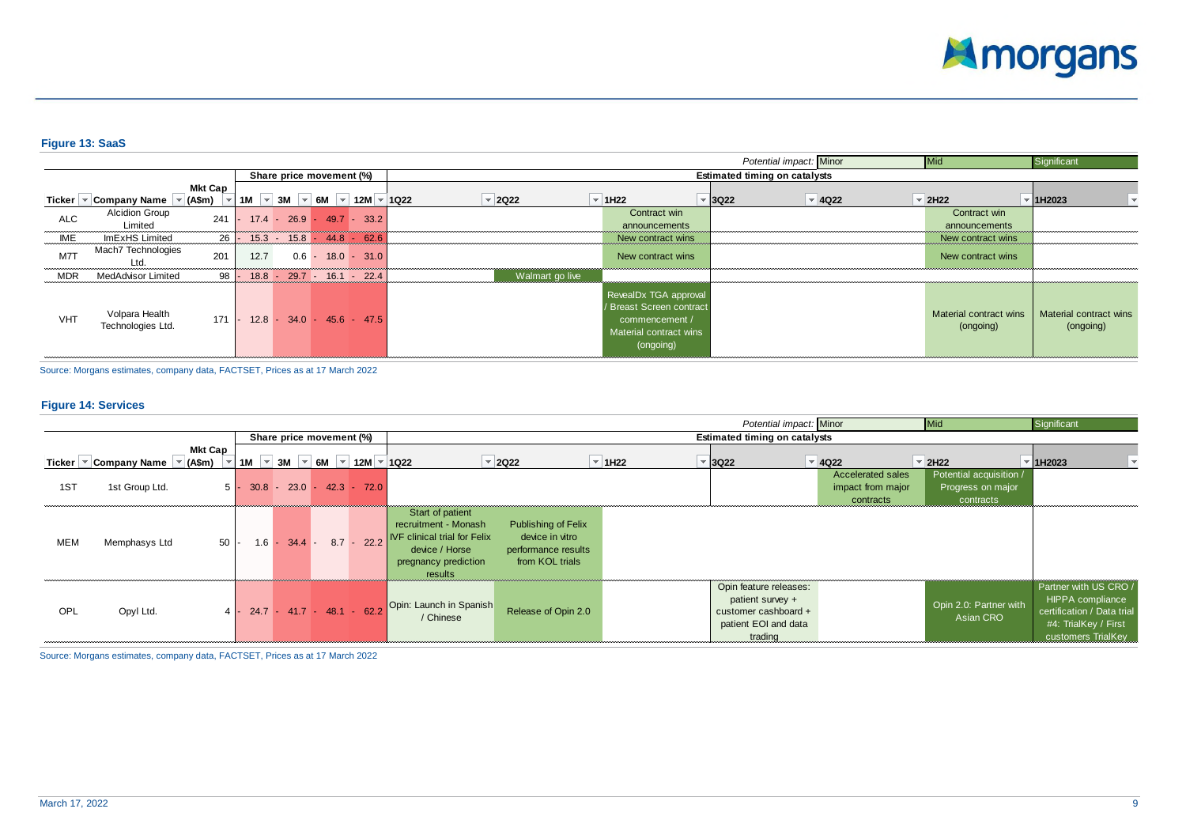

# **Figure 13: SaaS**

|            |                                         |                     |      |                                                               |  |                     |                                                                                                            | Potential impact: Minor              |                          | Mid                                 | Significant                         |
|------------|-----------------------------------------|---------------------|------|---------------------------------------------------------------|--|---------------------|------------------------------------------------------------------------------------------------------------|--------------------------------------|--------------------------|-------------------------------------|-------------------------------------|
|            |                                         |                     |      | Share price movement (%)                                      |  |                     |                                                                                                            | <b>Estimated timing on catalysts</b> |                          |                                     |                                     |
|            | Ticker $\vert \cdot \vert$ Company Name | Mkt Cap<br>⊺ (A\$m) |      | 1M $\sqrt{ }$ 3M $\sqrt{ }$ 6M $\sqrt{ }$ 12M $\sqrt{ }$ 1Q22 |  | $\overline{2}$ 2Q22 | $\overline{=}$ 1H22                                                                                        | $\overline{\phantom{0}}$ 3Q22        | $\vert \cdot \vert$ 4Q22 | $\vert$ = 2H22                      | 1H2023                              |
| <b>ALC</b> | <b>Alcidion Group</b><br>Limited        | 241                 |      | $17.4 - 26.9 - 49.7 - 33.2$                                   |  |                     | Contract win<br>announcements                                                                              |                                      |                          | Contract win<br>announcements       |                                     |
| IME        | ImExHS Limited                          | 26                  |      | $15.3 - 15.8 - 44.8 - 62.6$                                   |  |                     | New contract wins                                                                                          |                                      |                          | New contract wins                   |                                     |
| M7T        | Mach7 Technologies<br>Ltd.              | 201                 | 12.7 | $0.6 - 18.0 - 31.0$                                           |  |                     | New contract wins                                                                                          |                                      |                          | New contract wins                   |                                     |
| <b>MDR</b> | MedAdvisor Limited                      | $98$ -              |      | $18.8 - 29.7 - 16.1 - 22.4$                                   |  | Walmart go live     |                                                                                                            |                                      |                          |                                     |                                     |
| <b>VHT</b> | Volpara Health<br>Technologies Ltd.     | 171                 |      | $12.8 - 34.0 - 45.6 - 47.5$                                   |  |                     | RevealDx TGA approval<br>/ Breast Screen contract<br>commencement /<br>Material contract wins<br>(ongoing) |                                      |                          | Material contract wins<br>(ongoing) | Material contract wins<br>(ongoing) |

Source: Morgans estimates, company data, FACTSET, Prices as at 17 March 2022

#### **Figure 14: Services**

|                          |                                                     |                |  |  |  |                                                                                                   |                                                                                                                                      |                                                                                         |                | Potential impact: Minor                                                                               |                                                            | <b>Mid</b>                                                | Significant                                                                                                           |  |
|--------------------------|-----------------------------------------------------|----------------|--|--|--|---------------------------------------------------------------------------------------------------|--------------------------------------------------------------------------------------------------------------------------------------|-----------------------------------------------------------------------------------------|----------------|-------------------------------------------------------------------------------------------------------|------------------------------------------------------------|-----------------------------------------------------------|-----------------------------------------------------------------------------------------------------------------------|--|
| Share price movement (%) |                                                     |                |  |  |  |                                                                                                   |                                                                                                                                      | <b>Estimated timing on catalysts</b>                                                    |                |                                                                                                       |                                                            |                                                           |                                                                                                                       |  |
|                          | Ticker $\vert \cdot \vert$ Company Name<br>″ (A\$m) | <b>Mkt Cap</b> |  |  |  | 1M $\vert \cdot \vert$ 3M $\vert \cdot \vert$ 6M $\vert \cdot \vert$ 12M $\vert \cdot \vert$ 1Q22 |                                                                                                                                      | $\vert$ = 2Q22                                                                          | $\vert$ = 1H22 | $\overline{\phantom{a}}$ 3Q22                                                                         | $\vert \cdot \vert$ 4Q22                                   | $\vert$ = 2H22                                            | 1H2023                                                                                                                |  |
| 1ST                      | 1st Group Ltd.                                      |                |  |  |  | $5 - 30.8 - 23.0 - 42.3 - 72.0$                                                                   |                                                                                                                                      |                                                                                         |                |                                                                                                       | <b>Accelerated sales</b><br>impact from major<br>contracts | Potential acquisition /<br>Progress on major<br>contracts |                                                                                                                       |  |
| MEM                      | Memphasys Ltd                                       | $50 -$         |  |  |  | $1.6 - 34.4 - 8.7 - 22.2$                                                                         | Start of patient<br>recruitment - Monash<br><b>IVF clinical trial for Felix</b><br>device / Horse<br>pregnancy prediction<br>results | <b>Publishing of Felix</b><br>device in vitro<br>performance results<br>from KOL trials |                |                                                                                                       |                                                            |                                                           |                                                                                                                       |  |
| OPL                      | Opyl Ltd.                                           |                |  |  |  |                                                                                                   | 4 - 24.7 - 41.7 - 48.1 - 62.2 Opin: Launch in Spanish                                                                                | Release of Opin 2.0                                                                     |                | Opin feature releases:<br>patient survey +<br>customer cashboard +<br>patient EOI and data<br>trading |                                                            | Opin 2.0: Partner with<br>Asian CRO                       | Partner with US CRO /<br>HIPPA compliance<br>certification / Data trial<br>#4: TrialKey / First<br>customers TrialKey |  |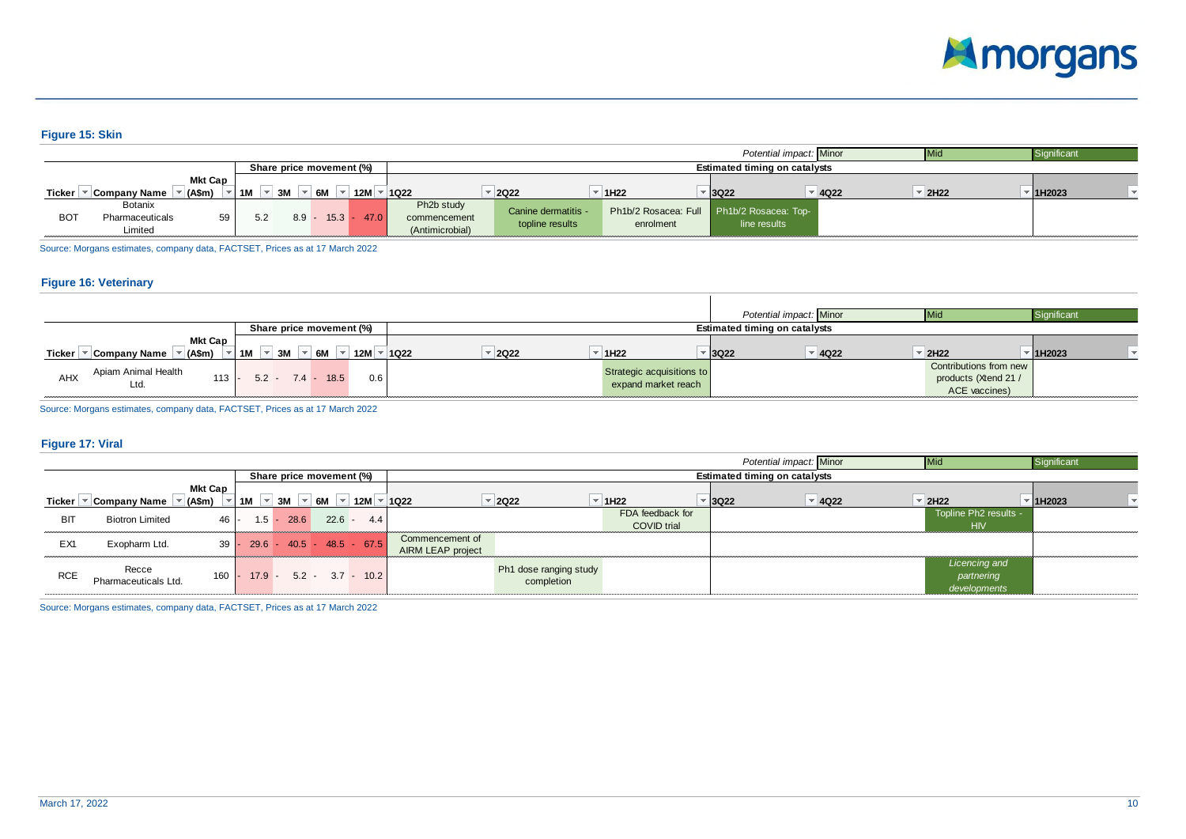

## **Figure 15: Skin**

|                          |                                       |                      |    |         |      |      |                                                            |                                        |                  | Potential impact: Minor                                   |          |                  | Significant |
|--------------------------|---------------------------------------|----------------------|----|---------|------|------|------------------------------------------------------------|----------------------------------------|------------------|-----------------------------------------------------------|----------|------------------|-------------|
| Share price movement (%) |                                       |                      |    |         |      |      |                                                            | <b>Estimated timing on catalysts</b>   |                  |                                                           |          |                  |             |
| Ticker                   | <b>Company Name</b>                   | Mkt Cap<br>$(A\$ fm) | 1M | 3M      | 6M   | 12M  | 1022                                                       | 2022                                   | 1H <sub>22</sub> | $ 3Q22\rangle$                                            | $= 4022$ | 2H <sub>22</sub> | 1H2023      |
| <b>BOT</b>               | Botanix<br>Pharmaceuticals<br>Limited | 59                   |    | $8.9 -$ | 15.3 | 47.0 | Ph <sub>2</sub> b study<br>commencement<br>(Antimicrobial) | Canine dermatitis -<br>topline results | enrolment        | Ph1b/2 Rosacea: Full Ph1b/2 Rosacea: Top-<br>line results |          |                  |             |

Source: Morgans estimates, company data, FACTSET, Prices as at 17 March 2022

#### **Figure 16: Veterinary**

|                                  |                           |                     |                           |                    | Potential impact: Minor              | l IVII)                | Significant         |  |
|----------------------------------|---------------------------|---------------------|---------------------------|--------------------|--------------------------------------|------------------------|---------------------|--|
|                                  | Share price movement (%)  |                     |                           |                    | <b>Estimated timing on catalysts</b> |                        |                     |  |
| <b>Mkt Cap</b>                   |                           |                     |                           |                    |                                      |                        |                     |  |
| (A\$m)<br>Ticker<br>Company Name | 6M<br>3M<br>1M<br>12M     | <b>2Q22</b><br>1022 | ▼ 1H22                    | <del>-</del> I3Q22 | $\overline{4}$ 4Q22                  | $-2H22$                | <sup>-</sup> 1H2023 |  |
| Apiam Animal Health              |                           |                     |                           |                    |                                      | Contributions from new |                     |  |
| $113 -$<br>AHX                   | $5.2 - 7.4 - 18.5$<br>0.6 |                     | Strategic acquisitions to |                    |                                      | products (Xtend 21 /   |                     |  |
| Ltd.                             |                           |                     | expand market reach       |                    |                                      | ACE vaccines)          |                     |  |

Source: Morgans estimates, company data, FACTSET, Prices as at 17 March 2022

#### **Figure 17: Viral**

|            | Potential impact: Minor<br><b>Mid</b> |                                        |          |                                            |                                  |     |                                      |                                      |                                        |                   | Significant                          |                                             |            |  |
|------------|---------------------------------------|----------------------------------------|----------|--------------------------------------------|----------------------------------|-----|--------------------------------------|--------------------------------------|----------------------------------------|-------------------|--------------------------------------|---------------------------------------------|------------|--|
|            |                                       |                                        |          |                                            | Share price movement (%)         |     |                                      |                                      |                                        |                   | <b>Estimated timing on catalysts</b> |                                             |            |  |
|            | Ticker   ▼ Company Name               | <b>Mkt Cap</b><br>$\sqrt{\tau}$ (A\$m) | 1M       | $\vert \cdot \vert$ 3M $\vert \cdot \vert$ | 6M<br>$\rightarrow$              | 12M | $\vert$ = 1022                       | $= 2022$                             | 1H <sub>22</sub>                       | <sup>-</sup> 3Q22 | $\overline{4}$ 4Q22                  | $=$ 2H22                                    | $=$ 1H2023 |  |
| BIT        | <b>Biotron Limited</b>                | $46 -$                                 | $1.5 -$  | 28.6                                       | $22.6 -$                         | 4.4 |                                      |                                      | FDA feedback for<br><b>COVID</b> trial |                   |                                      | Topline Ph2 results -<br><b>HIV</b>         |            |  |
| EX1        | Exopharm Ltd.                         |                                        |          |                                            | $39 - 29.6 - 40.5 - 48.5 - 67.5$ |     | Commencement of<br>AIRM LEAP project |                                      |                                        |                   |                                      |                                             |            |  |
| <b>RCE</b> | Recce<br>Pharmaceuticals Ltd.         | 160                                    | $17.9 -$ |                                            | $5.2 - 3.7 - 10.2$               |     |                                      | Ph1 dose ranging study<br>completion |                                        |                   |                                      | Licencing and<br>partnering<br>developments |            |  |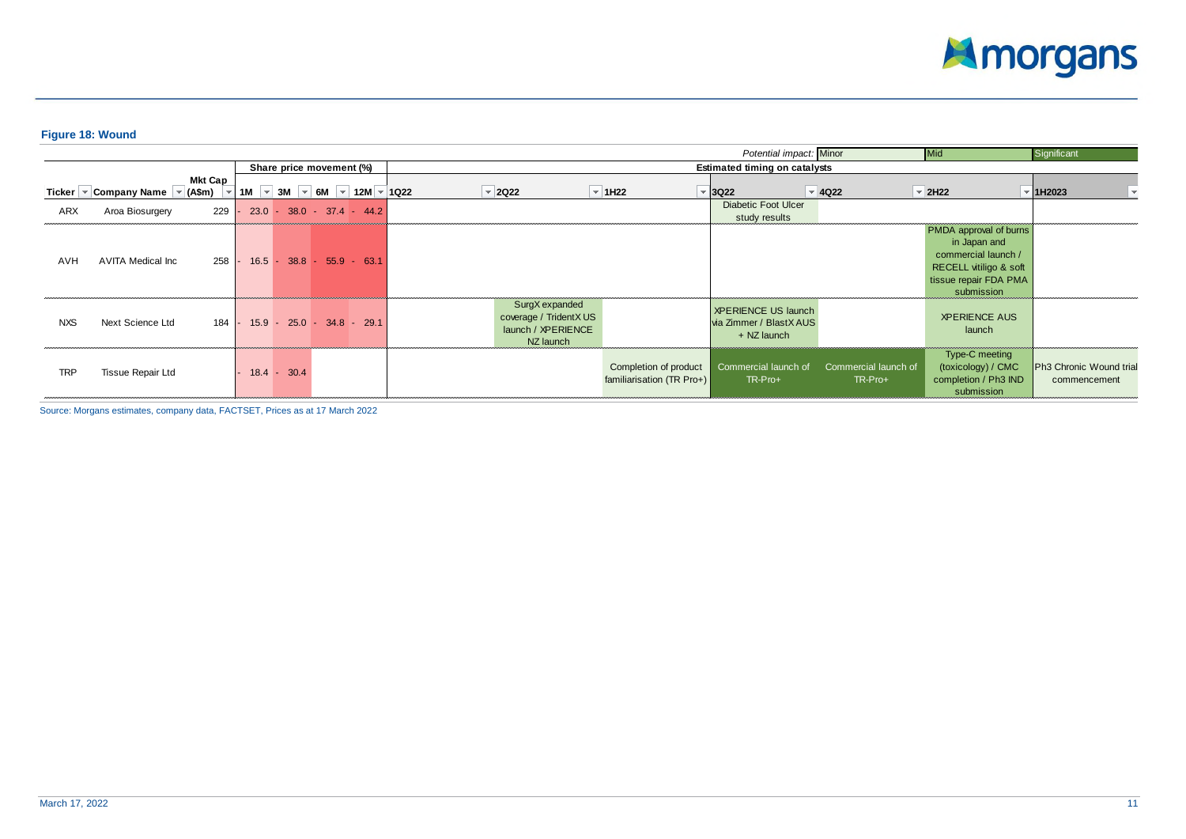

# **Figure 18: Wound**

|            | Significant<br>Potential impact: Minor<br>Mid      |                |          |               |                                                                                                |  |  |                                                                             |                                                    |                                                                      |                                 |                                                                                                                                |                                         |  |  |  |
|------------|----------------------------------------------------|----------------|----------|---------------|------------------------------------------------------------------------------------------------|--|--|-----------------------------------------------------------------------------|----------------------------------------------------|----------------------------------------------------------------------|---------------------------------|--------------------------------------------------------------------------------------------------------------------------------|-----------------------------------------|--|--|--|
|            |                                                    |                |          |               | Share price movement (%)                                                                       |  |  | <b>Estimated timing on catalysts</b>                                        |                                                    |                                                                      |                                 |                                                                                                                                |                                         |  |  |  |
|            | Ticker $\sqrt{\ }$ Company Name $\sqrt{\ }$ (A\$m) | <b>Mkt Cap</b> | 1M       |               | $\vert \cdot \vert$ 3M $\vert \cdot \vert$ 6M $\vert \cdot \vert$ 12M $\vert \cdot \vert$ 1Q22 |  |  | $\vert$ = 2Q22                                                              | $\vert$ $\tau$ 1H22                                | $\overline{\phantom{a}}$ 3Q22                                        | $\vert \cdot \vert$ 4Q22        | $\vert \cdot \vert$ 2H22                                                                                                       | 1H2023                                  |  |  |  |
| ARX        | Aroa Biosurgery                                    | 229            |          |               | $23.0 - 38.0 - 37.4 - 44.2$                                                                    |  |  |                                                                             |                                                    | <b>Diabetic Foot Ulcer</b><br>study results                          |                                 |                                                                                                                                |                                         |  |  |  |
| AVH        | AVITA Medical Inc                                  | 258            | $16.5 -$ |               | $38.8 - 55.9 - 63.1$                                                                           |  |  |                                                                             |                                                    |                                                                      |                                 | PMDA approval of burns<br>in Japan and<br>commercial launch /<br>RECELL vitiligo & soft<br>tissue repair FDA PMA<br>submission |                                         |  |  |  |
| <b>NXS</b> | Next Science Ltd                                   | 184            |          |               | $15.9 - 25.0 - 34.8 - 29.1$                                                                    |  |  | SurgX expanded<br>coverage / TridentX US<br>launch / XPERIENCE<br>NZ launch |                                                    | <b>XPERIENCE US launch</b><br>via Zimmer / BlastX AUS<br>+ NZ launch |                                 | <b>XPERIENCE AUS</b><br>launch                                                                                                 |                                         |  |  |  |
| <b>TRP</b> | Tissue Repair Ltd                                  |                |          | $18.4 - 30.4$ |                                                                                                |  |  |                                                                             | Completion of product<br>familiarisation (TR Pro+) | Commercial launch of<br>TR-Pro+                                      | Commercial launch of<br>TR-Pro+ | Type-C meeting<br>(toxicology) / CMC<br>completion / Ph3 IND<br>submission                                                     | Ph3 Chronic Wound trial<br>commencement |  |  |  |